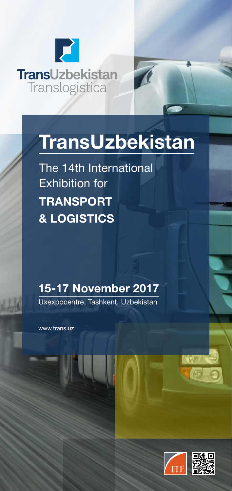



The 14th International Exhibition for **TRANSPORT & LOGISTICS**

# **15-17 November 2017**

Uxexpocentre, Tashkent, Uzbekistan

www.trans.uz

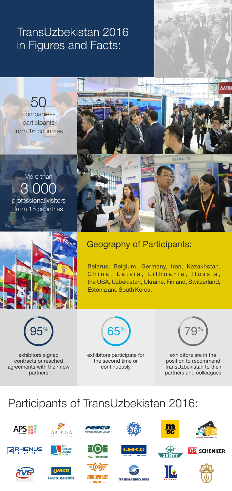# TransUzbekistan 2016 in Figures and Facts:

companiesparticipants from 16 countries 50

professional visitors from 15 countries 3 000 More than



### Geography of Participants:

ARDENA

Belarus, Belgium, Germany, Iran, Kazakhstan, China, Latvia, Lithuania, Russia, the USA, Uzbekistan, Ukraine, Finland, Switzerland, Estonia and South Korea.



exhibitors signed contracts or reached agreements with their new partners



exhibitors participate for the second time or continuously



**AATBI** 

exhibitors are in the position to recommend TransUzbekistan to their partners and colleagues

# Participants of TransUzbekistan 2016:

































**NSMASHHOLDING**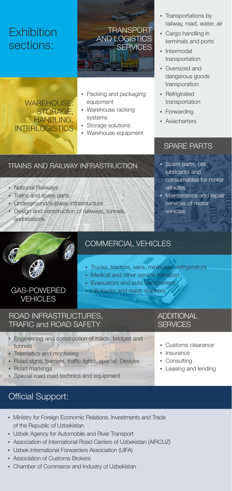## **Exhibition** sections:

### **TRANSPORT** AND LOGISTICS **SERVICES**

WAREHOUSE: STORAGE, HANDLING, **INTERLOGISTICS** 

- Packing and packaging equipment
- Warehouse racking systems
- Warehouse equipment

#### TRAINS AND RAILWAY INFRASTRUCTION

- National Railways
- Trains and spare parts
- Underground/subway infrastructure
- Design and construction of railways, tunnels, and stations

• Storage solutions

- Transportations by railway, road, water, air
- Cargo handling in terminals and ports
- Intermodal transportation
- Oversized and dangerous goods transporation
- Refrigirated transportation
- Forwarding
- Aviacharters

### SPARE PARTS

- Spare parts, oils, lubricants and consumables for motor vehicles
- Maintenance and repair services of motor vehicles



### COMMERCIAL VEHICLES

- Trucks, tractors, vans, minibuses, refrigerators
- Medical and other service transport
- Evacuators and auto transporters
- Lift-trucks and reach stackers

### GAS-POWERED **VEHICLES**

#### ROAD INFRASTRUCTURES, TRAFIC and ROAD SAFETY

- **Engineering and construction of roads, bridges and** tunnels
- Telematics and montoring
- Road signs, barriers, traffic lights, special. Devices
- Road markings
- Special road road technics and equipment

#### **ADDITIONAL SFRVICES**

- Customs clearance
- Insurance
- Consulting
- Leasing and lending

## Official Support:

- Ministry for Foreign Economic Relations, Investments and Trade of the Republic of Uzbekistan
- Uzbek Agency for Automobile and River Transport
- Association of International Road Carriers of Uzbekistan (AIRCUZ)
- Uzbek International Forwarders Association (UIFA)
- Association of Customs Brokers
- Chamber of Commerce and Industry of Uzbekistan